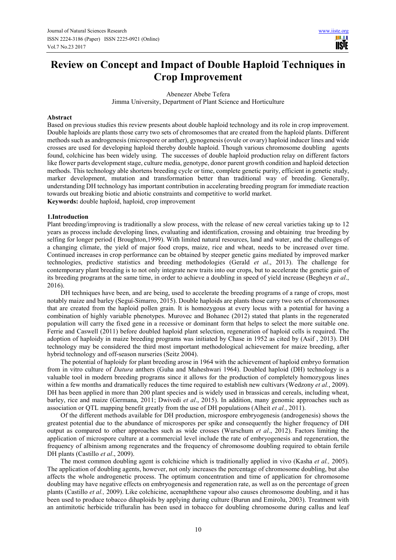ШI **USE** 

# **Review on Concept and Impact of Double Haploid Techniques in Crop Improvement**

Abenezer Abebe Tefera

Jimma University, Department of Plant Science and Horticulture

#### **Abstract**

Based on previous studies this review presents about double haploid technology and its role in crop improvement. Double haploids are plants those carry two sets of chromosomes that are created from the haploid plants. Different methods such as androgenesis (microspore or anther), gynogenesis (ovule or ovary) haploid inducer lines and wide crosses are used for developing haploid thereby double haploid. Though various chromosome doubling agents found, colchicine has been widely using. The successes of double haploid production relay on different factors like flower parts development stage, culture media, genotype, donor parent growth condition and haploid detection methods. This technology able shortens breeding cycle or time, complete genetic purity, efficient in genetic study, marker development, mutation and transformation better than traditional way of breeding. Generally, understanding DH technology has important contribution in accelerating breeding program for immediate reaction towards out breaking biotic and abiotic constraints and competitive to world market. **Keywords:** double haploid, haploid, crop improvement

# **1.Introduction**

Plant breeding/improving is traditionally a slow process, with the release of new cereal varieties taking up to 12 years as process include developing lines, evaluating and identification, crossing and obtaining true breeding by selfing for longer period ( Broughton,1999). With limited natural resources, land and water, and the challenges of a changing climate, the yield of major food crops, maize, rice and wheat, needs to be increased over time. Continued increases in crop performance can be obtained by steeper genetic gains mediated by improved marker technologies, predictive statistics and breeding methodologies (Gerald *et al*., 2013). The challenge for contemporary plant breeding is to not only integrate new traits into our crops, but to accelerate the genetic gain of its breeding programs at the same time, in order to achieve a doubling in speed of yield increase (Begheyn *et al*., 2016).

DH techniques have been, and are being, used to accelerate the breeding programs of a range of crops, most notably maize and barley (Seguí-Simarro, 2015). Double haploids are plants those carry two sets of chromosomes that are created from the haploid pollen grain. It is homozygous at every locus with a potential for having a combination of highly variable phenotypes. Murovec and Bohanec (2012) stated that plants in the regenerated population will carry the fixed gene in a recessive or dominant form that helps to select the more suitable one. Ferrie and Caswell (2011) before doubled haploid plant selection, regeneration of haploid cells is required. The adoption of haploidy in maize breeding programs was initiated by Chase in 1952 as cited by (Asif , 2013). DH technology may be considered the third most important methodological achievement for maize breeding, after hybrid technology and off-season nurseries (Seitz 2004).

The potential of haploidy for plant breeding arose in 1964 with the achievement of haploid embryo formation from in vitro culture of *Datura* anthers (Guha and Maheshwari 1964). Doubled haploid (DH) technology is a valuable tool in modern breeding programs since it allows for the production of completely homozygous lines within a few months and dramatically reduces the time required to establish new cultivars (Wedzony *et al.*, 2009). DH has been applied in more than 200 plant species and is widely used in brassicas and cereals, including wheat, barley, rice and maize (Germana, 2011; Dwivedi *et al*., 2015). In addition, many genomic approaches such as association or QTL mapping benefit greatly from the use of DH populations (Alheit *et al.*, 2011).

Of the different methods available for DH production, microspore embryogenesis (androgenesis) shows the greatest potential due to the abundance of microspores per spike and consequently the higher frequency of DH output as compared to other approaches such as wide crosses (Wurschum *et al*., 2012). Factors limiting the application of microspore culture at a commercial level include the rate of embryogenesis and regeneration, the frequency of albinism among regenerates and the frequency of chromosome doubling required to obtain fertile DH plants (Castillo *et al*., 2009).

The most common doubling agent is colchicine which is traditionally applied in vivo (Kasha *et al.,* 2005). The application of doubling agents, however, not only increases the percentage of chromosome doubling, but also affects the whole androgenetic process. The optimum concentration and time of application for chromosome doubling may have negative effects on embryogenesis and regeneration rate, as well as on the percentage of green plants (Castillo *et al.,* 2009). Like colchicine, acenaphthene vapour also causes chromosome doubling, and it has been used to produce tobacco dihaploids by applying during culture (Burun and Emirolu, 2003). Treatment with an antimitotic herbicide trifluralin has been used in tobacco for doubling chromosome during callus and leaf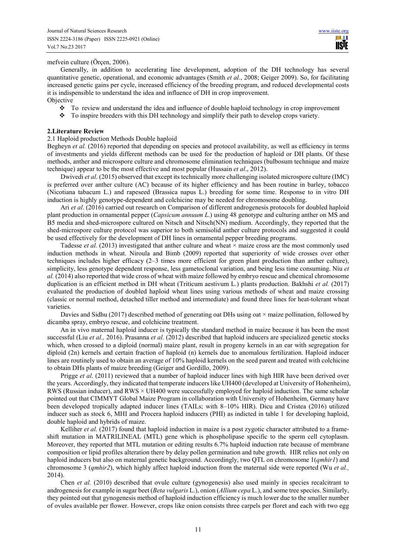HI I **TISLE** 

## mefvein culture (Örçen, 2006).

Generally, in addition to accelerating line development, adoption of the DH technology has several quantitative genetic, operational, and economic advantages (Smith *et al.*, 2008; Geiger 2009). So, for facilitating increased genetic gains per cycle, increased efficiency of the breeding program, and reduced developmental costs it is indispensible to understand the idea and influence of DH in crop improvement.

**Objective** 

- $\div$  To review and understand the idea and influence of double haploid technology in crop improvement
- $\cdot \cdot$  To inspire breeders with this DH technology and simplify their path to develop crops variety.

#### **2.Literature Review**

### 2.1 Haploid production Methods Double haploid

Begheyn *et al.* (2016) reported that depending on species and protocol availability, as well as efficiency in terms of investments and yields different methods can be used for the production of haploid or DH plants. Of these methods, anther and microspore culture and chromosome elimination techniques (bulbosum technique and maize technique) appear to be the most effective and most popular (Hussain *et al*., 2012).

Dwivedi *et al*. (2015) observed that except its technically more challenging isolated microspore culture (IMC) is preferred over anther culture (AC) because of its higher efficiency and has been routine in barley, tobacco (Nicotiana tabacum L.) and rapeseed (Brassica napus L.) breeding for some time. Response to in vitro DH induction is highly genotype-dependent and colchicine may be needed for chromosome doubling.

Ari *et al*. (2016) carried out research on Comparison of different androgenesis protocols for doubled haploid plant production in ornamental pepper (*Capsicum annuum L*.) using 48 genotype and culturing anther on MS and B5 media and shed-microspore cultured on Nitsch and Nitsch(NN) medium. Accordingly, they reported that the shed-microspore culture protocol was superior to both semisolid anther culture protocols and suggested it could be used effectively for the development of DH lines in ornamental pepper breeding programs.

Tadesse *et al.* (2013) investigated that anther culture and wheat  $\times$  maize cross are the most commonly used induction methods in wheat. Niroula and Bimb (2009) reported that superiority of wide crosses over other techniques includes higher efficacy (2–3 times more efficient for green plant production than anther culture), simplicity, less genotype dependent response, less gametoclonal variation, and being less time consuming. Niu *et al.* (2014) also reported that wide cross of wheat with maize followed by embryo rescue and chemical chromosome duplication is an efficient method in DH wheat (Triticum aestivum L.) plants production. Bakhshi *et al.* (2017) evaluated the production of doubled haploid wheat lines using various methods of wheat and maize crossing (classic or normal method, detached tiller method and intermediate) and found three lines for heat-tolerant wheat varieties.

Davies and Sidhu (2017) described method of generating oat DHs using oat  $\times$  maize pollination, followed by dicamba spray, embryo rescue, and colchicine treatment.

An in vivo maternal haploid inducer is typically the standard method in maize because it has been the most successful (Liu *et al.*, 2016). Prasanna *et al.* (2012) described that haploid inducers are specialized genetic stocks which, when crossed to a diploid (normal) maize plant, result in progeny kernels in an ear with segregation for diploid (2n) kernels and certain fraction of haploid (n) kernels due to anomalous fertilization. Haploid inducer lines are routinely used to obtain an average of 10% haploid kernels on the seed parent and treated with colchicine to obtain DHs plants of maize breeding (Geiger and Gordillo, 2009).

Prigge *et al*. (2011) reviewed that a number of haploid inducer lines with high HIR have been derived over the years. Accordingly, they indicated that temperate inducers like UH400 (developed at University of Hohenheim), RWS (Russian inducer), and RWS × UH400 were successfully employed for haploid induction. The same scholar pointed out that CIMMYT Global Maize Program in collaboration with University of Hohenheim, Germany have been developed tropically adapted inducer lines (TAILs; with 8–10% HIR). Dicu and Cristea (2016) utilized inducer such as stock 6, MHI and Procera haploid inducers (PHI) as indicted in table 1 for developing haploid, double haploid and hybrids of maize.

Kelliher *et al.* (2017) found that haploid induction in maize is a post zygotic character attributed to a frameshift mutation in MATRILINEAL (MTL) gene which is phospholipase specific to the sperm cell cytoplasm. Moreover, they reported that MTL mutation or editing results 6.7% haploid induction rate because of membrane composition or lipid profiles alteration there by delay pollen germination and tube growth. HIR relies not only on haploid inducers but also on maternal genetic background. Accordingly, two QTL on chromosome 1(*qmhir1*) and chromosome 3 (*qmhir2*), which highly affect haploid induction from the maternal side were reported (Wu *et al.,* 2014).

Chen *et al.* (2010) described that ovule culture (gynogenesis) also used mainly in species recalcitrant to androgenesis for example in sugar beet (*Beta vulgaris* L.), onion (*Allium cepa* L.), and some tree species. Similarly, they pointed out that gynogenesis method of haploid induction efficiency is much lower due to the smaller number of ovules available per flower. However, crops like onion consists three carpels per floret and each with two egg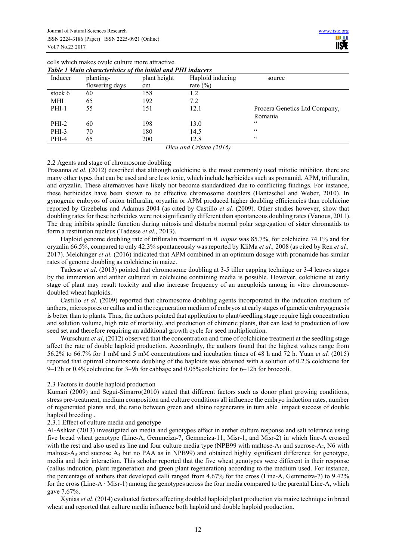| Tuble T muin characteristics of the initial and FIII inducers |                |              |                  |                               |
|---------------------------------------------------------------|----------------|--------------|------------------|-------------------------------|
| Inducer                                                       | planting-      | plant height | Haploid inducing | source                        |
|                                                               | flowering days | cm           | rate $(\% )$     |                               |
| stock 6                                                       | 60             | 158          | 1.2              |                               |
| MHI                                                           | 65             | 192          | 7.2              |                               |
| $PHI-1$                                                       | 55             | 151          | 12.1             | Procera Genetics Ltd Company, |
|                                                               |                |              |                  | Romania                       |
| $PHI-2$                                                       | 60             | 198          | 13.0             | cc                            |
| PHI-3                                                         | 70             | 180          | 14.5             | $\epsilon$                    |
| PHI-4                                                         | 65             | 200          | 12.8             | $\mathsf{c}\,\mathsf{c}$      |
| $D_{i}$ and $C_{\text{wisted}}$ (1016)                        |                |              |                  |                               |

cells which makes ovule culture more attractive. *Table 1 Main characteristics of the initial and PHI inducers* 

*Dicu and Cristea (2016)* 

## 2.2 Agents and stage of chromosome doubling

Prasanna *et al.* (2012) described that although colchicine is the most commonly used mitotic inhibitor, there are many other types that can be used and are less toxic, which include herbicides such as pronamid, APM, trifluralin, and oryzalin. These alternatives have likely not become standardized due to conflicting findings. For instance, these herbicides have been shown to be effective chromosome doublers (Hantzschel and Weber, 2010). In gynogenic embryos of onion trifluralin, oryzalin or APM produced higher doubling efficiencies than colchicine reported by Grzebelus and Adamus 2004 (as cited by Castillo *et al.* (2009). Other studies however, show that doubling rates for these herbicides were not significantly different than spontaneous doubling rates (Vanous, 2011). The drug inhibits spindle function during mitosis and disturbs normal polar segregation of sister chromatids to form a restitution nucleus (Tadesse *et al.,* 2013).

Haploid genome doubling rate of trifluralin treatment in *B. napus* was 85.7%, for colchicine 74.1% and for oryzalin 66.5%, compared to only 42.3% spontaneously was reported by KliMa *et al.,* 2008 (as cited by Ren *et al.,* 2017). Melchinger *et al.* (2016) indicated that APM combined in an optimum dosage with pronamide has similar rates of genome doubling as colchicine in maize.

Tadesse *et al*. (2013) pointed that chromosome doubling at 3-5 tiller capping technique or 3-4 leaves stages by the immersion and anther cultured in colchicine containing media is possible. However, colchicine at early stage of plant may result toxicity and also increase frequency of an aneuploids among in vitro chromosomedoubled wheat haploids.

Castillo *et al*. (2009) reported that chromosome doubling agents incorporated in the induction medium of anthers, microspores or callus and in the regeneration medium of embryos at early stages of gametic embryogenesis is better than to plants. Thus, the authors pointed that application to plant/seedling stage require high concentration and solution volume, high rate of mortality, and production of chimeric plants, that can lead to production of low seed set and therefore requiring an additional growth cycle for seed multiplication.

Wurschum *et al.* (2012) observed that the concentration and time of colchicine treatment at the seedling stage affect the rate of double haploid production. Accordingly, the authors found that the highest values range from 56.2% to 66.7% for 1 mM and 5 mM concentrations and incubation times of 48 h and 72 h. Yuan *et al.* (2015) reported that optimal chromosome doubling of the haploids was obtained with a solution of 0.2% colchicine for 9–12h or 0.4%colchicine for 3–9h for cabbage and 0.05%colchicine for 6–12h for broccoli.

## 2.3 Factors in double haploid production

Kumari (2009) and Seguí-Simarro(2010) stated that different factors such as donor plant growing conditions, stress pre-treatment, medium composition and culture conditions all influence the embryo induction rates, number of regenerated plants and, the ratio between green and albino regenerants in turn able impact success of double haploid breeding .

#### 2.3.1 Effect of culture media and genotype

Al-Ashkar (2013) investigated on media and genotypes effect in anther culture response and salt tolerance using five bread wheat genotype (Line-A, Gemmeiza-7, Gemmeiza-11, Misr-1, and Misr-2) in which line-A crossed with the rest and also used as line and four culture media type (NPB99 with maltose- $A_1$  and sucrose- $A_2$ , N6 with maltose- $A_3$  and sucrose  $A_4$  but no PAA as in NPB99) and obtained highly significant difference for genotype, media and their interaction. This scholar reported that the five wheat genotypes were different in their response (callus induction, plant regeneration and green plant regeneration) according to the medium used. For instance, the percentage of anthers that developed calli ranged from 4.67% for the cross (Line-A, Gemmeiza-7) to 9.42% for the cross (Line-A · Misr-1) among the genotypes across the four media compared to the parental Line-A, which gave 7.67%.

Xynias *et al*. (2014) evaluated factors affecting doubled haploid plant production via maize technique in bread wheat and reported that culture media influence both haploid and double haploid production.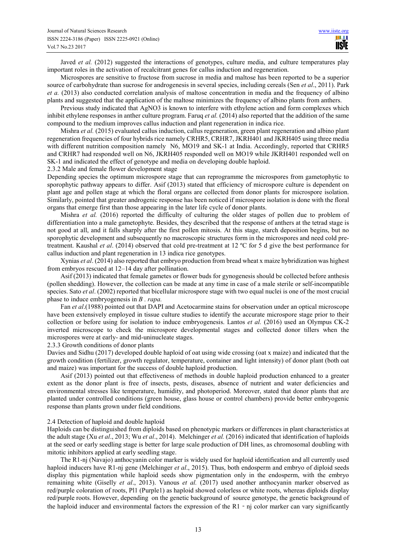Javed *et al.* (2012) suggested the interactions of genotypes, culture media, and culture temperatures play important roles in the activation of recalcitrant genes for callus induction and regeneration.

Microspores are sensitive to fructose from sucrose in media and maltose has been reported to be a superior source of carbohydrate than sucrose for androgenesis in several species, including cereals (Sen *et al*., 2011). Park *et a.* (2013) also conducted correlation analysis of maltose concentration in media and the frequency of albino plants and suggested that the application of the maltose minimizes the frequency of albino plants from anthers.

Previous study indicated that AgNO3 is known to interfere with ethylene action and form complexes which inhibit ethylene responses in anther culture program. Faruq *et al.* (2014) also reported that the addition of the same compound to the medium improves callus induction and plant regeneration in indica rice.

Mishra *et al.* (2015) evaluated callus induction, callus regeneration, green plant regeneration and albino plant regeneration frequencies of four hybrids rice namely CRHR5, CRHR7, JKRH401 and JKRH405 using three media with different nutrition composition namely N6, MO19 and SK-1 at India. Accordingly, reported that CRHR5 and CRHR7 had responded well on N6, JKRH405 responded well on MO19 while JKRH401 responded well on SK-1 and indicated the effect of genotype and media on developing double haploid.

2.3.2 Male and female flower development stage

Depending species the optimum microspore stage that can reprogramme the microspores from gametophytic to sporophytic pathway appears to differ. Asif (2013) stated that efficiency of microspore culture is dependent on plant age and pollen stage at which the floral organs are collected from donor plants for microspore isolation. Similarly, pointed that greater androgenic response has been noticed if microspore isolation is done with the floral organs that emerge first than those appearing in the later life cycle of donor plants.

Mishra *et al.* (2016) reported the difficulty of culturing the older stages of pollen due to problem of differentiation into a male gametophyte. Besides, they described that the response of anthers at the tetrad stage is not good at all, and it falls sharply after the first pollen mitosis. At this stage, starch deposition begins, but no sporophytic development and subsequently no macroscopic structures form in the microspores and need cold pretreatment. Kaushal *et al*. (2014) observed that cold pre-treatment at 12 ºC for 5 d give the best performance for callus induction and plant regeneration in 13 indica rice genotypes.

Xynias *et al*. (2014) also reported that embryo production from bread wheat x maize hybridization was highest from embryos rescued at 12–14 day after pollination.

Asif (2013) indicated that female gametes or flower buds for gynogenesis should be collected before anthesis (pollen shedding). However, the collection can be made at any time in case of a male sterile or self-incompatible species. Sato *et al*. (2002) reported that bicellular microspore stage with two equal nuclei is one of the most crucial phase to induce embryogenesis in *B . rapa.* 

Fan *et al*.(1988) pointed out that DAPI and Acetocarmine stains for observation under an optical microscope have been extensively employed in tissue culture studies to identify the accurate microspore stage prior to their collection or before using for isolation to induce embryogenesis. Lantos *et al.* (2016) used an Olympus CK-2 inverted microscope to check the microspore developmental stages and collected donor tillers when the microspores were at early- and mid-uninucleate stages.

#### 2.3.3 Growth conditions of donor plants

Davies and Sidhu (2017) developed double haploid of oat using wide crossing (oat x maize) and indicated that the growth condition (fertilizer, growth regulator, temperature, container and light intensity) of donor plant (both oat and maize) was important for the success of double haploid production.

Asif (2013) pointed out that effectiveness of methods in double haploid production enhanced to a greater extent as the donor plant is free of insects, pests, diseases, absence of nutrient and water deficiencies and environmental stresses like temperature, humidity, and photoperiod. Moreover, stated that donor plants that are planted under controlled conditions (green house, glass house or control chambers) provide better embryogenic response than plants grown under field conditions.

#### 2.4 Detection of haploid and double haploid

Haploids can be distinguished from diploids based on phenotypic markers or differences in plant characteristics at the adult stage (Xu *et al*., 2013; Wu *et al*., 2014). Melchinger *et al.* (2016) indicated that identification of haploids at the seed or early seedling stage is better for large scale production of DH lines, as chromosomal doubling with mitotic inhibitors applied at early seedling stage.

The R1-nj (Navajo) anthocyanin color marker is widely used for haploid identification and all currently used haploid inducers have R1-nj gene (Melchinger *et al*., 2015). Thus, both endosperm and embryo of diploid seeds display this pigmentation while haploid seeds show pigmentation only in the endosperm, with the embryo remaining white (Giselly *et al*., 2013). Vanous *et al.* (2017) used another anthocyanin marker observed as red/purple coloration of roots, Pl1 (Purple1) as haploid showed colorless or white roots, whereas diploids display red/purple roots. However, depending on the genetic background of source genotype, the genetic background of the haploid inducer and environmental factors the expression of the  $R1 - n$  color marker can vary significantly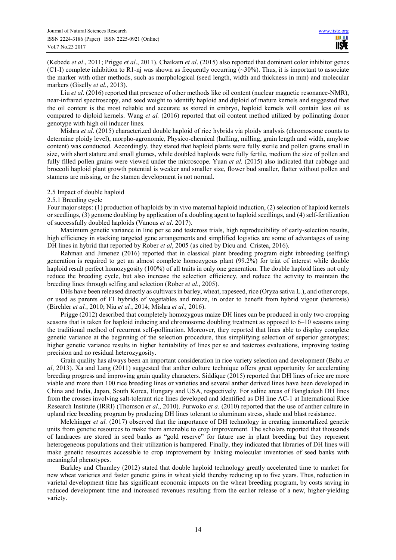(Kebede *et al*., 2011; Prigge *et al*., 2011). Chaikam *et al*. (2015) also reported that dominant color inhibitor genes (C1-I) complete inhibition to R1-nj was shown as frequently occurring  $(\sim 30\%)$ . Thus, it is important to associate the marker with other methods, such as morphological (seed length, width and thickness in mm) and molecular markers (Giselly *et al.*, 2013).

Liu *et al.* (2016) reported that presence of other methods like oil content (nuclear magnetic resonance-NMR), near-infrared spectroscopy, and seed weight to identify haploid and diploid of mature kernels and suggested that the oil content is the most reliable and accurate as stored in embryo, haploid kernels will contain less oil as compared to diploid kernels. Wang *et al.* (2016) reported that oil content method utilized by pollinating donor genotype with high oil inducer lines.

Mishra *et al*. (2015) characterized double haploid of rice hybrids via ploidy analysis (chromosome counts to determine ploidy level), morpho-agronomic, Physico-chemical (hulling, milling, grain length and width, amylose content) was conducted. Accordingly, they stated that haploid plants were fully sterile and pollen grains small in size, with short stature and small glumes, while doubled haploids were fully fertile, medium the size of pollen and fully filled pollen grains were viewed under the microscope. Yuan *et al.* (2015) also indicated that cabbage and broccoli haploid plant growth potential is weaker and smaller size, flower bud smaller, flatter without pollen and stamens are missing, or the stamen development is not normal.

## 2.5 Impact of double haploid

## 2.5.1 Breeding cycle

Four major steps: (1) production of haploids by in vivo maternal haploid induction, (2) selection of haploid kernels or seedlings, (3) genome doubling by application of a doubling agent to haploid seedlings, and (4) self-fertilization of successfully doubled haploids (Vanous *et al*. 2017).

Maximum genetic variance in line per se and testcross trials, high reproducibility of early-selection results, high efficiency in stacking targeted gene arrangements and simplified logistics are some of advantages of using DH lines in hybrid that reported by Rober *et al*, 2005 (as cited by Dicu and Cristea, 2016).

Rahman and Jimenez (2016) reported that in classical plant breeding program eight inbreeding (selfing) generation is required to get an almost complete homozygous plant (99.2%) for triat of interest while double haploid result perfect homozygosity (100%) of all traits in only one generation. The double haploid lines not only reduce the breeding cycle, but also increase the selection efficiency, and reduce the activity to maintain the breeding lines through selfing and selection (Rober *et al*., 2005).

DHs have been released directly as cultivars in barley, wheat, rapeseed, rice (Oryza sativa L.), and other crops, or used as parents of F1 hybrids of vegetables and maize, in order to benefit from hybrid vigour (heterosis) (Birchler *et al.*, 2010; Niu *et al.*, 2014; Mishra *et al.,* 2016).

Prigge (2012) described that completely homozygous maize DH lines can be produced in only two cropping seasons that is taken for haploid inducing and chromosome doubling treatment as opposed to 6–10 seasons using the traditional method of recurrent self-pollination. Moreover, they reported that lines able to display complete genetic variance at the beginning of the selection procedure, thus simplifying selection of superior genotypes; higher genetic variance results in higher heritability of lines per se and testcross evaluations, improving testing precision and no residual heterozygosity.

Grain quality has always been an important consideration in rice variety selection and development (Babu *et al*, 2013). Xa and Lang (2011) suggested that anther culture technique offers great opportunity for accelerating breeding progress and improving grain quality characters. Siddique (2015) reported that DH lines of rice are more viable and more than 100 rice breeding lines or varieties and several anther derived lines have been developed in China and India, Japan, South Korea, Hungary and USA, respectively. For saline areas of Bangladesh DH lines from the crosses involving salt-tolerant rice lines developed and identified as DH line AC-1 at International Rice Research Institute (IRRI) (Thomson *et al*., 2010). Purwoko *et a.* (2010) reported that the use of anther culture in upland rice breeding program by producing DH lines tolerant to aluminum stress, shade and blast resistance.

Melchinger *et al.* (2017) observed that the importance of DH technology in creating immortalized genetic units from genetic resources to make them amenable to crop improvement. The scholars reported that thousands of landraces are stored in seed banks as "gold reserve" for future use in plant breeding but they represent heterogeneous populations and their utilization is hampered. Finally, they indicated that libraries of DH lines will make genetic resources accessible to crop improvement by linking molecular inventories of seed banks with meaningful phenotypes.

Barkley and Chumley (2012) stated that double haploid technology greatly accelerated time to market for new wheat varieties and faster genetic gains in wheat yield thereby reducing up to five years. Thus, reduction in varietal development time has significant economic impacts on the wheat breeding program, by costs saving in reduced development time and increased revenues resulting from the earlier release of a new, higher-yielding variety.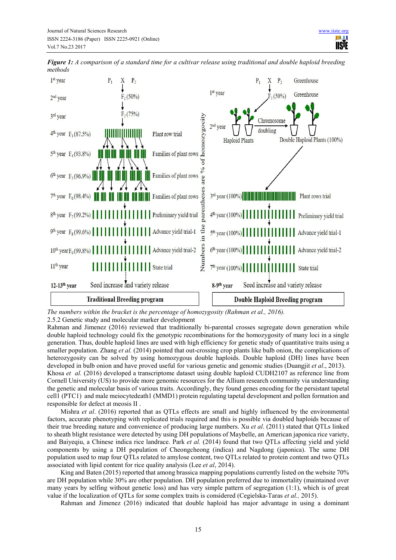

*Figure 1: A comparison of a standard time for a cultivar release using traditional and double haploid breeding methods* 

*The numbers within the bracket is the percentage of homozygosity (Rahman et al., 2016).*

2.5.2 Genetic study and molecular marker development

Rahman and Jimenez (2016) reviewed that traditionally bi-parental crosses segregate down generation while double haploid technology could fix the genotypic recombinations for the homozygosity of many loci in a single generation. Thus, double haploid lines are used with high efficiency for genetic study of quantitative traits using a smaller population. Zhang *et al.* (2014) pointed that out-crossing crop plants like bulb onion, the complications of heterozygosity can be solved by using homozygous double haploids. Double haploid (DH) lines have been developed in bulb onion and have proved useful for various genetic and genomic studies (Duangjit *et al*., 2013). Khosa *et al.* (2016) developed a transcriptome dataset using double haploid CUDH2107 as reference line from Cornell University (US) to provide more genomic resources for the Allium research community via understanding the genetic and molecular basis of various traits. Accordingly, they found genes encoding for the persistant tapetal cell1 (PTC1) and male meiocytedeath1 (MMD1) protein regulating tapetal development and pollen formation and responsible for defect at meosis II .

Mishra *et al*. (2016) reported that as QTLs effects are small and highly influenced by the environmental factors, accurate phenotyping with replicated trials required and this is possible via doubled haploids because of their true breeding nature and convenience of producing large numbers. Xu *et al*. (2011) stated that QTLs linked to sheath blight resistance were detected by using DH populations of Maybelle, an American japonica rice variety, and Baiyeqiu, a Chinese indica rice landrace. Park *et al.* (2014) found that two QTLs affecting yield and yield components by using a DH population of Cheongcheong (indica) and Nagdong (japonica). The same DH population used to map four QTLs related to amylose content, two QTLs related to protein content and two QTLs associated with lipid content for rice quality analysis (Lee *et al*, 2014).

King and Baten (2015) reported that among brassica mapping populations currently listed on the website 70% are DH population while 30% are other population. DH population preferred due to immortality (maintained over many years by selfing without genetic loss) and has very simple pattern of segregation (1:1), which is of great value if the localization of QTLs for some complex traits is considered (Cegielska-Taras *et al.,* 2015).

Rahman and Jimenez (2016) indicated that double haploid has major advantage in using a dominant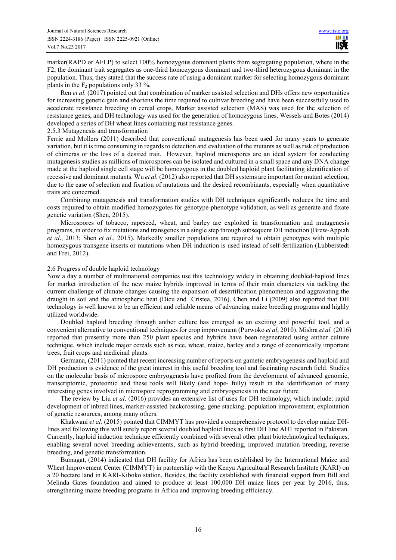marker(RAPD or AFLP) to select 100% homozygous dominant plants from segregating population, where in the F2, the dominant trait segregates as one-third homozygous dominant and two-third heterozygous dominant in the population. Thus, they stated that the success rate of using a dominant marker for selecting homozygous dominant plants in the  $F_2$  populations only 33 %.

Ren *et al.* (2017) pointed out that combination of marker assisted selection and DHs offers new opportunities for increasing genetic gain and shortens the time required to cultivar breeding and have been successfully used to accelerate resistance breeding in cereal crops. Marker assisted selection (MAS) was used for the selection of resistance genes, and DH technology was used for the generation of homozygous lines. Wessels and Botes (2014) developed a series of DH wheat lines containing rust resistance genes.

#### 2.5.3 Mutagenesis and transformation

Ferrie and Mollers (2011) described that conventional mutagenesis has been used for many years to generate variation, but it is time consuming in regards to detection and evaluation of the mutants as well as risk of production of chimeras or the loss of a desired trait. However, haploid microspores are an ideal system for conducting mutagenesis studies as millions of microspores can be isolated and cultured in a small space and any DNA change made at the haploid single cell stage will be homozygous in the doubled haploid plant facilitating identification of recessive and dominant mutants. Wu *et al.* (2012) also reported that DH systems are important for mutant selection, due to the ease of selection and fixation of mutations and the desired recombinants, especially when quantitative traits are concerned.

Combining mutagenesis and transformation studies with DH techniques significantly reduces the time and costs required to obtain modified homozygotes for genotype-phenotype validation, as well as generate and fixate genetic variation (Shen, 2015).

Microspores of tobacco, rapeseed, wheat, and barley are exploited in transformation and mutagenesis programs, in order to fix mutations and transgenes in a single step through subsequent DH induction (Brew-Appiah *et al*., 2013; Shen *et al*., 2015). Markedly smaller populations are required to obtain genotypes with multiple homozygous transgene inserts or mutations when DH induction is used instead of self-fertilization (Lubberstedt and Frei, 2012).

#### 2.6 Progress of double haploid technology

Now a day a number of multinational companies use this technology widely in obtaining doubled-haploid lines for market introduction of the new maize hybrids improved in terms of their main characters via tackling the current challenge of climate changes causing the expansion of desertification phenomenon and aggravating the draught in soil and the atmospheric heat (Dicu and Cristea, 2016). Chen and Li (2009) also reported that DH technology is well known to be an efficient and reliable means of advancing maize breeding programs and highly utilized worldwide.

Doubled haploid breeding through anther culture has emerged as an exciting and powerful tool, and a convenient alternative to conventional techniques for crop improvement (Purwoko *et al*, 2010). Mishra *et al.* (2016) reported that presently more than 250 plant species and hybrids have been regenerated using anther culture technique, which include major cereals such as rice, wheat, maize, barley and a range of economically important trees, fruit crops and medicinal plants.

Germana, (2011) pointed that recent increasing number of reports on gametic embryogenesis and haploid and DH production is evidence of the great interest in this useful breeding tool and fascinating research field. Studies on the molecular basis of microspore embryogenesis have profited from the development of advanced genomic, transcriptomic, proteomic and these tools will likely (and hope- fully) result in the identification of many interesting genes involved in microspore reprogramming and embryogenesis in the near future

The review by Liu *et al*. (2016) provides an extensive list of uses for DH technology, which include: rapid development of inbred lines, marker-assisted backcrossing, gene stacking, population improvement, exploitation of genetic resources, among many others.

Khakwani *et al*. (2015) pointed that CIMMYT has provided a comprehensive protocol to develop maize DHlines and following this will surely report several doubled haploid lines as first DH line AH1 reported in Pakistan. Currently, haploid induction technique efficiently combined with several other plant biotechnological techniques, enabling several novel breeding achievements, such as hybrid breeding, improved mutation breeding, reverse breeding, and genetic transformation.

Bumagat, (2014) indicated that DH facility for Africa has been established by the International Maize and Wheat Improvement Center (CIMMYT) in partnership with the Kenya Agricultural Research Institute (KARI) on a 20 hectare land in KARI-Kiboko station. Besides, the facility established with financial support from Bill and Melinda Gates foundation and aimed to produce at least 100,000 DH maize lines per year by 2016, thus, strengthening maize breeding programs in Africa and improving breeding efficiency.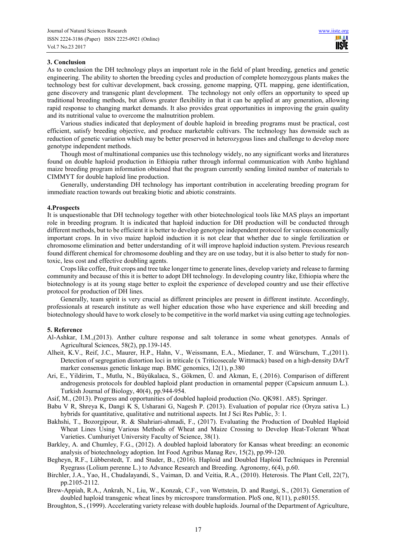## **3. Conclusion**

As to conclusion the DH technology plays an important role in the field of plant breeding, genetics and genetic engineering. The ability to shorten the breeding cycles and production of complete homozygous plants makes the technology best for cultivar development, back crossing, genome mapping, QTL mapping, gene identification, gene discovery and transgenic plant development. The technology not only offers an opportunity to speed up traditional breeding methods, but allows greater flexibility in that it can be applied at any generation, allowing rapid response to changing market demands. It also provides great opportunities in improving the grain quality and its nutritional value to overcome the malnutrition problem.

Various studies indicated that deployment of double haploid in breeding programs must be practical, cost efficient, satisfy breeding objective, and produce marketable cultivars. The technology has downside such as reduction of genetic variation which may be better preserved in heterozygous lines and challenge to develop more genotype independent methods.

Though most of multinational companies use this technology widely, no any significant works and literatures found on double haploid production in Ethiopia rather through informal communication with Ambo highland maize breeding program information obtained that the program currently sending limited number of materials to CIMMYT for double haploid line production.

Generally, understanding DH technology has important contribution in accelerating breeding program for immediate reaction towards out breaking biotic and abiotic constraints.

#### **4.Prospects**

It is unquestionable that DH technology together with other biotechnological tools like MAS plays an important role in breeding program. It is indicated that haploid induction for DH production will be conducted through different methods, but to be efficient it is better to develop genotype independent protocol for various economically important crops. In in vivo maize haploid induction it is not clear that whether due to single fertilization or chromosome elimination and better understanding of it will improve haploid induction system. Previous research found different chemical for chromosome doubling and they are on use today, but it is also better to study for nontoxic, less cost and effective doubling agents.

Crops like coffee, fruit crops and tree take longer time to generate lines, develop variety and release to farming community and because of this it is better to adopt DH technology. In developing country like, Ethiopia where the biotechnology is at its young stage better to exploit the experience of developed country and use their effective protocol for production of DH lines.

Generally, team spirit is very crucial as different principles are present in different institute. Accordingly, professionals at research institute as well higher education those who have experience and skill breeding and biotechnology should have to work closely to be competitive in the world market via using cutting age technologies.

#### **5. Reference**

- Al-Ashkar, I.M.,(2013). Anther culture response and salt tolerance in some wheat genotypes. Annals of Agricultural Sciences, 58(2), pp.139-145.
- Alheit, K.V., Reif, J.C., Maurer, H.P., Hahn, V., Weissmann, E.A., Miedaner, T. and Würschum, T.,(2011). Detection of segregation distortion loci in triticale (x Triticosecale Wittmack) based on a high-density DArT marker consensus genetic linkage map. BMC genomics, 12(1), p.380
- Ari, E., Yildirim, T., Mutlu, N., Büyükalaca, S., Gökmen, Ü. and Akman, E, (.2016). Comparison of different androgenesis protocols for doubled haploid plant production in ornamental pepper (Capsicum annuum L.). Turkish Journal of Biology, 40(4), pp.944-954.
- Asif, M., (2013). Progress and opportunities of doubled haploid production (No. QK981. A85). Springer.
- Babu V R, Shreya K, Dangi K S, Usharani G, Nagesh P. (2013). Evaluation of popular rice (Oryza sativa L.) hybrids for quantitative, qualitative and nutritional aspects. Int J Sci Res Public, 3: 1.
- Bakhshi, T., Bozorgipour, R. & Shahriari-ahmadi, F., (2017). Evaluating the Production of Doubled Haploid Wheat Lines Using Various Methods of Wheat and Maize Crossing to Develop Heat-Tolerant Wheat Varieties. Cumhuriyet University Faculty of Science, 38(1).
- Barkley, A. and Chumley, F.G., (2012). A doubled haploid laboratory for Kansas wheat breeding: an economic analysis of biotechnology adoption. Int Food Agribus Manag Rev, 15(2), pp.99-120.
- Begheyn, R.F., Lübberstedt, T. and Studer, B., (2016). Haploid and Doubled Haploid Techniques in Perennial Ryegrass (Lolium perenne L.) to Advance Research and Breeding. Agronomy, 6(4), p.60.
- Birchler, J.A., Yao, H., Chudalayandi, S., Vaiman, D. and Veitia, R.A., (2010). Heterosis. The Plant Cell, 22(7), pp.2105-2112.
- Brew-Appiah, R.A., Ankrah, N., Liu, W., Konzak, C.F., von Wettstein, D. and Rustgi, S., (2013). Generation of doubled haploid transgenic wheat lines by microspore transformation. PloS one, 8(11), p.e80155.
- Broughton, S., (1999). Accelerating variety release with double haploids. Journal of the Department of Agriculture,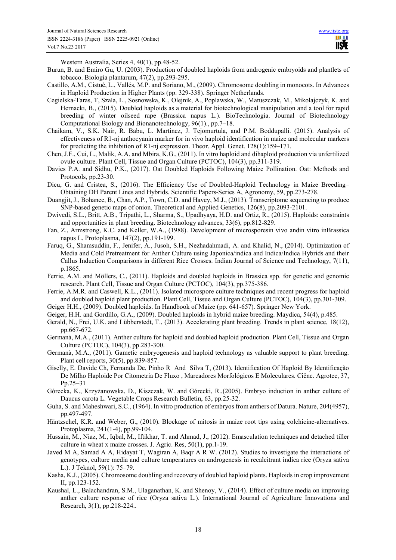Western Australia, Series 4, 40(1), pp.48-52.

- Burun, B. and Emiro Gu, U. (2003). Production of doubled haploids from androgenic embryoids and plantlets of tobacco. Biologia plantarum, 47(2), pp.293-295.
- Castillo, A.M., Cistué, L., Vallés, M.P. and Soriano, M., (2009). Chromosome doubling in monocots. In Advances in Haploid Production in Higher Plants (pp. 329-338). Springer Netherlands.
- Cegielska-Taras, T, Szala, L., Sosnowska, K., Olejnik, A., Poplawska, W., Matuszczak, M., Mikolajczyk, K. and Hernacki, B., (2015). Doubled haploids as a material for biotechnological manipulation and a tool for rapid breeding of winter oilseed rape (Brassica napus L.). BioTechnologia. Journal of Biotechnology Computational Biology and Bionanotechnology, 96(1)., pp.7–18.
- Chaikam, V., S.K. Nair, R. Babu, L. Martinez, J. Tejomurtula, and P.M. Boddupalli. (2015). Analysis of effectiveness of R1-nj anthocyanin marker for in vivo haploid identification in maize and molecular markers for predicting the inhibition of R1-nj expression. Theor. Appl. Genet. 128(1):159–171.
- Chen, J.F., Cui, L., Malik, A.A. and Mbira, K.G., (2011). In vitro haploid and dihaploid production via unfertilized ovule culture. Plant Cell, Tissue and Organ Culture (PCTOC), 104(3), pp.311-319.
- Davies P.A. and Sidhu, P.K., (2017). Oat Doubled Haploids Following Maize Pollination. Oat: Methods and Protocols, pp.23-30.
- Dicu, G. and Cristea, S., (2016). The Efficiency Use of Doubled-Haploid Technology in Maize Breeding– Obtaining DH Parent Lines and Hybrids. Scientific Papers-Series A, Agronomy, 59, pp.273-278.
- Duangjit, J., Bohanec, B., Chan, A.P., Town, C.D. and Havey, M.J., (2013). Transcriptome sequencing to produce SNP-based genetic maps of onion. Theoretical and Applied Genetics, 126(8), pp.2093-2101.
- Dwivedi, S.L., Britt, A.B., Tripathi, L., Sharma, S., Upadhyaya, H.D. and Ortiz, R., (2015). Haploids: constraints and opportunities in plant breeding. Biotechnology advances, 33(6), pp.812-829.
- Fan, Z., Armstrong, K.C. and Keller, W.A., (1988). Development of microsporesin vivo andin vitro inBrassica napus L. Protoplasma, 147(2), pp.191-199.
- Faruq, G., Shamsuddin, F., Jenifer, A., Jusoh, S.H., Nezhadahmadi, A. and Khalid, N., (2014). Optimization of Media and Cold Pretreatment for Anther Culture using Japonica/indica and Indica/Indica Hybrids and their Callus Induction Comparisons in different Rice Crosses. Indian Journal of Science and Technology, 7(11), p.1865.
- Ferrie, A.M. and Möllers, C., (2011). Haploids and doubled haploids in Brassica spp. for genetic and genomic research. Plant Cell, Tissue and Organ Culture (PCTOC), 104(3), pp.375-386.
- Ferrie, A.M.R. and Caswell, K.L., (2011). Isolated microspore culture techniques and recent progress for haploid and doubled haploid plant production. Plant Cell, Tissue and Organ Culture (PCTOC), 104(3), pp.301-309.
- Geiger H.H., (2009). Doubled haploids. In Handbook of Maize (pp. 641-657). Springer New York.
- Geiger, H.H. and Gordillo, G.A., (2009). Doubled haploids in hybrid maize breeding. Maydica, 54(4), p.485.
- Gerald, N., Frei, U.K. and Lübberstedt, T., (2013). Accelerating plant breeding. Trends in plant science, 18(12), pp.667-672.
- Germanà, M.A., (2011). Anther culture for haploid and doubled haploid production. Plant Cell, Tissue and Organ Culture (PCTOC), 104(3), pp.283-300.
- Germanà, M.A., (2011). Gametic embryogenesis and haploid technology as valuable support to plant breeding. Plant cell reports, 30(5), pp.839-857.
- Giselly, E. Davide Ch, Fernanda De, Pinho R And Silva T, (2013). Identification Of Haploid By Identificação De Milho Haploide Por Citometria De Fluxo , Marcadores Morfológicos E Moleculares. Ciênc. Agrotec, 37, Pp.25–31
- Górecka, K., Krzyżanowska, D., Kiszczak, W. and Górecki, R.,(2005). Embryo induction in anther culture of Daucus carota L. Vegetable Crops Research Bulletin, 63, pp.25-32.
- Guha, S. and Maheshwari, S.C., (1964). In vitro production of embryos from anthers of Datura. Nature, 204(4957), pp.497-497.
- Häntzschel, K.R. and Weber, G., (2010). Blockage of mitosis in maize root tips using colchicine-alternatives. Protoplasma, 241(1-4), pp.99-104.
- Hussain, M., Niaz, M., Iqbal, M., Iftikhar, T. and Ahmad, J., (2012). Emasculation techniques and detached tiller culture in wheat x maize crosses. J. Agric. Res, 50(1), pp.1-19.
- Javed M A, Samad A A, Hidayat T, Wagiran A, Baqr A R W. (2012). Studies to investigate the interactions of genotypes, culture media and culture temperatures on androgenesis in recalcitrant indica rice (Oryza sativa L.). J Teknol, 59(1): 75–79.
- Kasha, K.J., (2005). Chromosome doubling and recovery of doubled haploid plants. Haploids in crop improvement II, pp.123-152.
- Kaushal, L., Balachandran, S.M., Ulaganathan, K. and Shenoy, V., (2014). Effect of culture media on improving anther culture response of rice (Oryza sativa L.). International Journal of Agriculture Innovations and Research, 3(1), pp.218-224..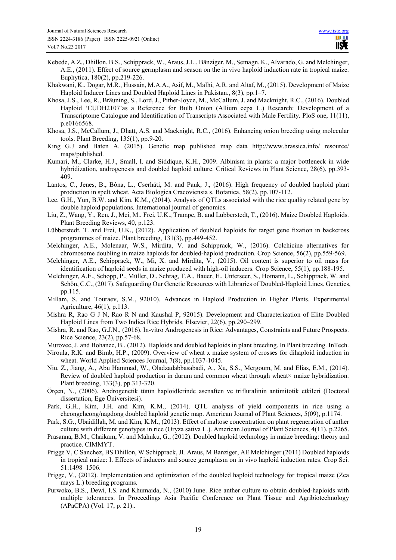- Kebede, A.Z., Dhillon, B.S., Schipprack, W., Araus, J.L., Bänziger, M., Semagn, K., Alvarado, G. and Melchinger, A.E., (2011). Effect of source germplasm and season on the in vivo haploid induction rate in tropical maize. Euphytica, 180(2), pp.219-226.
- Khakwani, K., Dogar, M.R., Hussain, M.A.A., Asif, M., Malhi, A.R. and Altaf, M., (2015). Development of Maize Haploid Inducer Lines and Doubled Haploid Lines in Pakistan., 8(3), pp.1–7.
- Khosa, J.S., Lee, R., Bräuning, S., Lord, J., Pither-Joyce, M., McCallum, J. and Macknight, R.C., (2016). Doubled Haploid 'CUDH2107'as a Reference for Bulb Onion (Allium cepa L.) Research: Development of a Transcriptome Catalogue and Identification of Transcripts Associated with Male Fertility. PloS one, 11(11), p.e0166568.
- Khosa, J.S., McCallum, J., Dhatt, A.S. and Macknight, R.C., (2016). Enhancing onion breeding using molecular tools. Plant Breeding, 135(1), pp.9-20.
- King G.J and Baten A. (2015). Genetic map published map data http://www.brassica.info/ resource/ maps/published.
- Kumari, M., Clarke, H.J., Small, I. and Siddique, K.H., 2009. Albinism in plants: a major bottleneck in wide hybridization, androgenesis and doubled haploid culture. Critical Reviews in Plant Science, 28(6), pp.393- 409.
- Lantos, C., Jenes, B., Bóna, L., Cserháti, M. and Pauk, J., (2016). High frequency of doubled haploid plant production in spelt wheat. Acta Biologica Cracoviensia s. Botanica, 58(2), pp.107-112.
- Lee, G.H., Yun, B.W. and Kim, K.M., (2014). Analysis of QTLs associated with the rice quality related gene by double haploid populations. International journal of genomics.
- Liu, Z., Wang, Y., Ren, J., Mei, M., Frei, U.K., Trampe, B. and Lubberstedt, T., (2016). Maize Doubled Haploids. Plant Breeding Reviews, 40, p.123.
- Lübberstedt, T. and Frei, U.K., (2012). Application of doubled haploids for target gene fixation in backcross programmes of maize. Plant breeding, 131(3), pp.449-452.
- Melchinger, A.E., Molenaar, W.S., Mirdita, V. and Schipprack, W., (2016). Colchicine alternatives for chromosome doubling in maize haploids for doubled-haploid production. Crop Science, 56(2), pp.559-569.
- Melchinger, A.E., Schipprack, W., Mi, X. and Mirdita, V., (2015). Oil content is superior to oil mass for identification of haploid seeds in maize produced with high-oil inducers. Crop Science, 55(1), pp.188-195.
- Melchinger, A.E., Schopp, P., Müller, D., Schrag, T.A., Bauer, E., Unterseer, S., Homann, L., Schipprack, W. and Schön, C.C., (2017). Safeguarding Our Genetic Resources with Libraries of Doubled-Haploid Lines. Genetics, pp.115.
- Millam, S. and Touraev, S.M., 92010). Advances in Haploid Production in Higher Plants. Experimental Agriculture, 46(1), p.113.
- Mishra R, Rao G J N, Rao R N and Kaushal P, 92015). Development and Characterization of Elite Doubled Haploid Lines from Two Indica Rice Hybrids. Elsevier, 22(6), pp.290–299.
- Mishra, R. and Rao, G.J.N., (2016). In-vitro Androgenesis in Rice: Advantages, Constraints and Future Prospects. Rice Science, 23(2), pp.57-68.
- Murovec, J. and Bohanec, B., (2012). Haploids and doubled haploids in plant breeding. In Plant breeding. InTech.
- Niroula, R.K. and Bimb, H.P., (2009). Overview of wheat x maize system of crosses for dihaploid induction in wheat. World Applied Sciences Journal, 7(8), pp.1037-1045.
- Niu, Z., Jiang, A., Abu Hammad, W., Oladzadabbasabadi, A., Xu, S.S., Mergoum, M. and Elias, E.M., (2014). Review of doubled haploid production in durum and common wheat through wheat $\times$  maize hybridization. Plant breeding, 133(3), pp.313-320.
- Örçen, N., (2006). Androgenetik tütün haploidlerinde asenaften ve trifluralinin antimitotik etkileri (Doctoral dissertation, Ege Üniversitesi).
- Park, G.H., Kim, J.H. and Kim, K.M., (2014). QTL analysis of yield components in rice using a cheongcheong/nagdong doubled haploid genetic map. American Journal of Plant Sciences, 5(09), p.1174.
- Park, S.G., Ubaidillah, M. and Kim, K.M., (2013). Effect of maltose concentration on plant regeneration of anther culture with different genotypes in rice (Oryza sativa L.). American Journal of Plant Sciences, 4(11), p.2265.
- Prasanna, B.M., Chaikam, V. and Mahuku, G., (2012). Doubled haploid technology in maize breeding: theory and practice. CIMMYT.
- Prigge V, C Sanchez, BS Dhillon, W Schipprack, JL Araus, M Banziger, AE Melchinger (2011) Doubled haploids in tropical maize: I. Effects of inducers and source germplasm on in vivo haploid induction rates. Crop Sci. 51:1498–1506.
- Prigge, V., (2012). Implementation and optimization of the doubled haploid technology for tropical maize (Zea mays L.) breeding programs.
- Purwoko, B.S., Dewi, I.S. and Khumaida, N., (2010) June. Rice anther culture to obtain doubled-haploids with multiple tolerances. In Proceedings Asia Pacific Conference on Plant Tissue and Agribiotechnology (APaCPA) (Vol. 17, p. 21)..